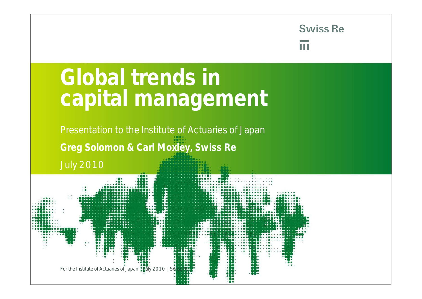H

# **Global trends in capital management**

Presentation to the Institute of Actuaries of Japan **Greg Solomon & Carl Moxley, Swiss Re**

July 2010

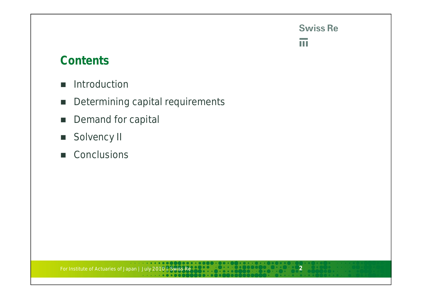### $\overline{\mathbf{m}}$

### **Contents**

- **Introduction**
- Determining capital requirements
- Demand for capital
- Solvency II
- Conclusions

For Institute of Actuaries of Japan | July 2010 | Swiss Re **2**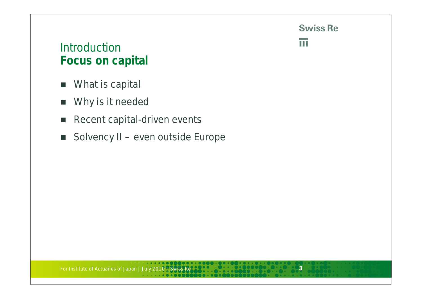$\overline{\mathbf{H}}$ 

### **Introduction Focus on capital**

- **NH** What is capital
- **Now is it needed**
- Recent capital-driven events
- Solvency II even outside Europe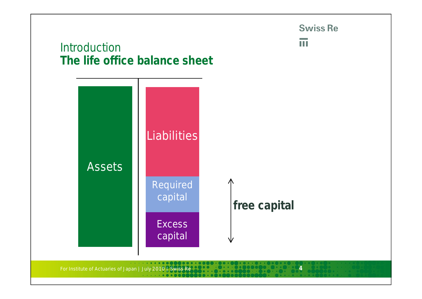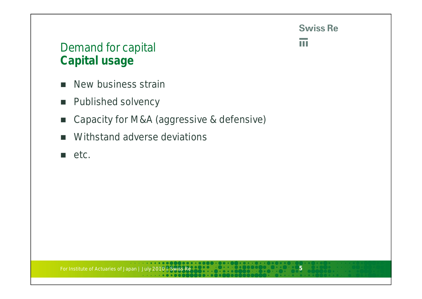

 $\overline{\mathbf{m}}$ 

# Demand for capital **Capital usage**

- New business strain
- **Published solvency**
- Capacity for M&A (aggressive & defensive)
- **Withstand adverse deviations**
- etc.

For Institute of Actuaries of Japan | July 2010 | Swiss Re **5**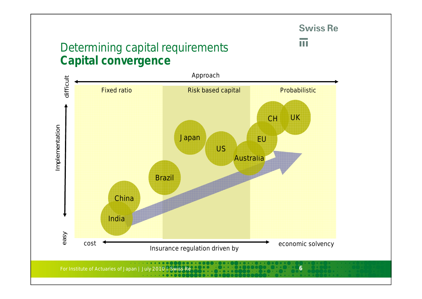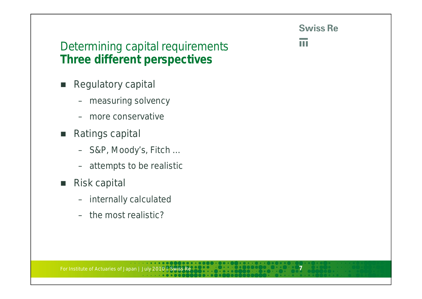m

# Determining capital requirements **Three different perspectives**

- Regulatory capital
	- measuring solvency
	- more conservative
- Ratings capital
	- S&P, Moody's, Fitch …
	- attempts to be realistic
- Risk capital
	- internally calculated
	- the most realistic?

For Institute of Actuaries of Japan | July 2010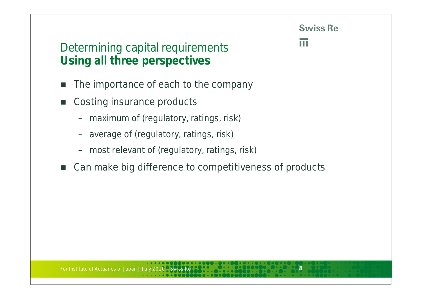TT

# Determining capital requirements **Using all three perspectives**

- The importance of each to the company
- Costing insurance products
	- maximum of (regulatory, ratings, risk)
	- average of (regulatory, ratings, risk)
	- most relevant of (regulatory, ratings, risk)
- Can make big difference to competitiveness of products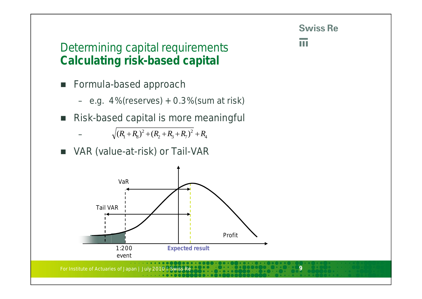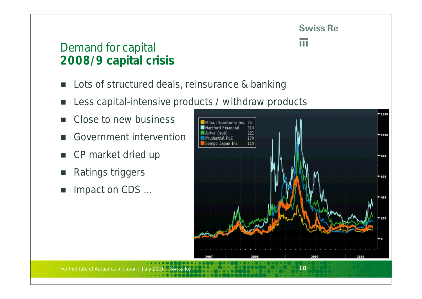m

# Demand for capital **2008/9 capital crisis**

- Lots of structured deals, reinsurance & banking
- Less capital-intensive products / withdraw products
- Close to new business
- Government intervention
- CP market dried up
- Ratings triggers
- Impact on CDS …

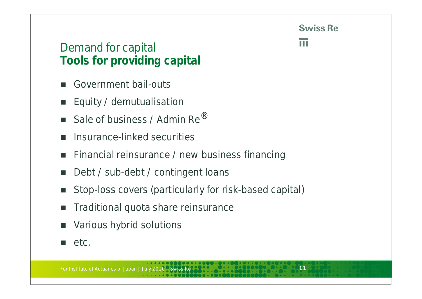H

# Demand for capital **Tools for providing capital**

- Government bail-outs
- **Equity / demutualisation**
- Sale of business / Admin Re $^{\circledR}$
- Insurance-linked securities
- **Financial reinsurance / new business financing**
- Debt / sub-debt / contingent loans
- Stop-loss covers (particularly for risk-based capital)
- Traditional quota share reinsurance
- Various hybrid solutions
- $e$ tc.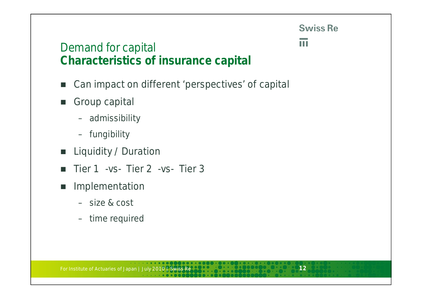m

## Demand for capital **Characteristics of insurance capital**

- Can impact on different 'perspectives' of capital
- Group capital
	- admissibility
	- fungibility
- **Liquidity / Duration**
- $\blacksquare$  Tier 1 -vs- Tier 2 -vs- Tier 3
- **Implementation** 
	- size & cost
	- time required

For Institute of Actuaries of Japan | July 2010 | Swiss Re **12**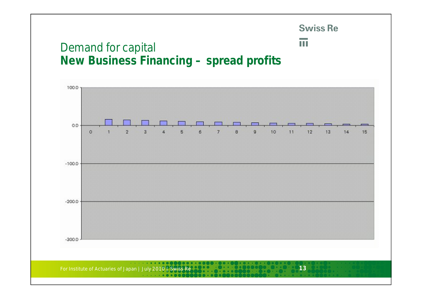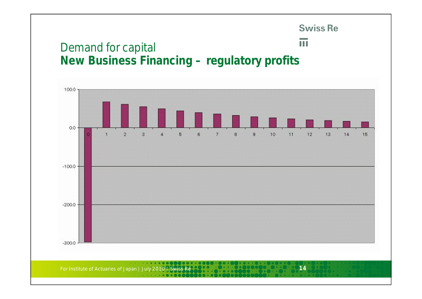# **Swiss Re**  $\overline{\mathbf{m}}$ Demand for capital **New Business Financing – regulatory profits**100.0

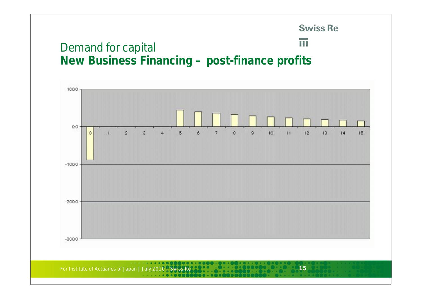### $\overline{\mathbf{u}}$ Demand for capital **New Business Financing – post-finance profits**



**Swiss Re**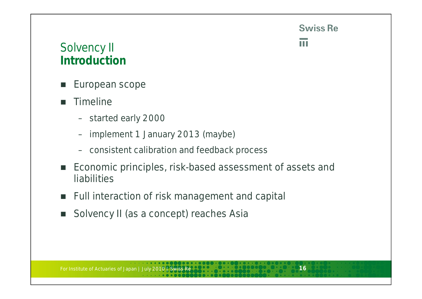TT

# Solvency II **Introduction**

- European scope
- **Timeline** 
	- started early 2000
	- implement 1 January 2013 (maybe)
	- consistent calibration and feedback process
- Economic principles, risk-based assessment of assets and liabilities
- **Full interaction of risk management and capital**
- Solvency II (as a concept) reaches Asia

For Institute of Actuaries of Japan | July 2010 | Swiss Re **166 | 166 | 166 | 166 | 166 | 166 | 166** | 166 | 16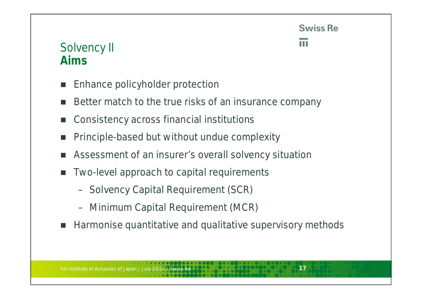# Solvency II **Aims**

- Enhance policyholder protection
- Better match to the true risks of an insurance company
- Consistency across financial institutions
- Principle-based but without undue complexity
- Assessment of an insurer's overall solvency situation
- Two-level approach to capital requirements
	- Solvency Capital Requirement (SCR)
	- Minimum Capital Requirement (MCR)
- Harmonise quantitative and qualitative supervisory methods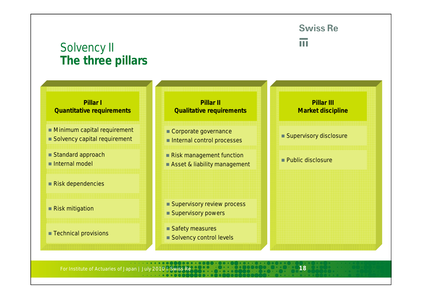# Solvency II **The three pillars**

**Swiss Re** 

### TT

#### **Pillar I Quantitative requirements**

- **Minimum capital requirement**
- Solvency capital requirement
- Standard approach
- Internal model
- Risk dependencies
- Risk mitigation
- **Technical provisions**



#### Corporate governance

- Internal control processes
- Risk management function
- Asset & liability management

#### ■ Supervisory review process

- Supervisory powers
- Safety measures
- Solvency control levels

**Pillar III Market discipline**

- Supervisory disclosure
- **Public disclosure**

For Institute of Actuaries of Japan | July 2010 | Swiss Re **1880 100 100 100 100 100 100 100 18**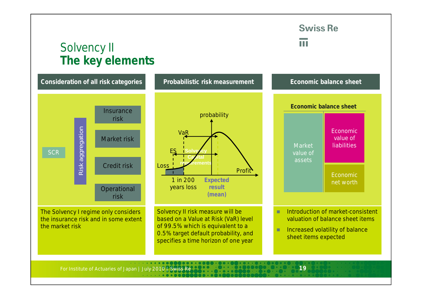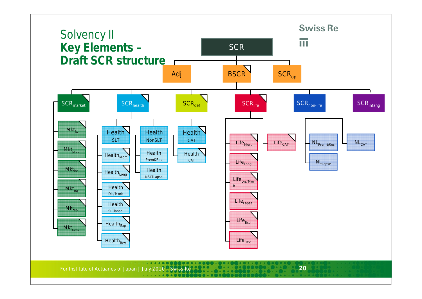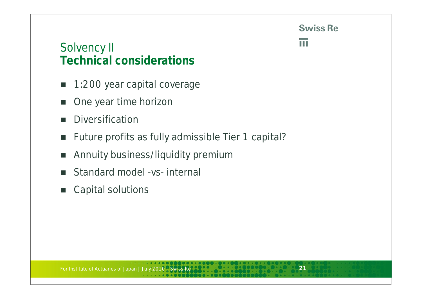m

# Solvency II **Technical considerations**

- 1:200 year capital coverage
- One year time horizon
- **Diversification**
- **Future profits as fully admissible Tier 1 capital?**
- **Annuity business/liquidity premium**
- Standard model -vs- internal
- Capital solutions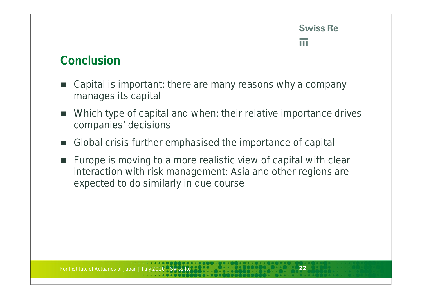$\blacksquare$ 

### **Conclusion**

- Capital is important: there are many reasons why a company manages its capital
- Which type of capital and when: their relative importance drives companies' decisions
- Global crisis further emphasised the importance of capital
- Europe is moving to a more realistic view of capital with clear interaction with risk management: Asia and other regions are expected to do similarly in due course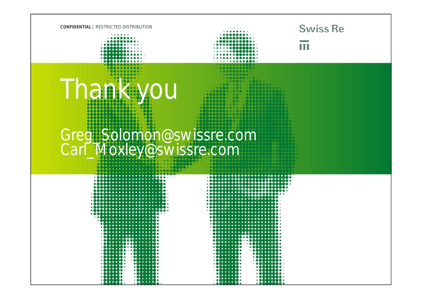

Thank you

 $-555550$   $-5555560$ 

### **Swiss Re**

H

# Greg\_Solomon@swissre.com Carl\_Moxley@swissre.com